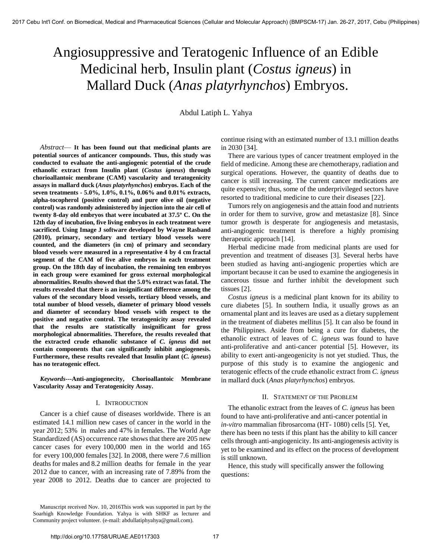# Angiosuppressive and Teratogenic Influence of an Edible Medicinal herb, Insulin plant (*Costus igneus*) in Mallard Duck (*Anas platyrhynchos*) Embryos.

Abdul Latiph L. Yahya

*Abstract*— **It has been found out that medicinal plants are potential sources of anticancer compounds. Thus, this study was conducted to evaluate the anti-angiogenic potential of the crude ethanolic extract from Insulin plant (***Costus igneus***) through chorioallantoic membrane (CAM) vascularity and teratogenicity assays in mallard duck (***Anas platyrhynchos***) embryos. Each of the seven treatments - 5.0%, 1.0%, 0.1%, 0.06% and 0.01% extracts, alpha-tocopherol (positive control) and pure olive oil (negative control) was randomly administered by injection into the air cell of twenty 8-day old embryos that were incubated at 37.5º C. On the 12th day of incubation, five living embryos in each treatment were sacrificed. Using Image J software developed by Wayne Rasband (2010), primary, secondary and tertiary blood vessels were counted, and the diameters (in cm) of primary and secondary blood vessels were measured in a representative 4 by 4 cm fractal segment of the CAM of five alive embryos in each treatment group. On the 18th day of incubation, the remaining ten embryos in each group were examined for gross external morphological abnormalities. Results showed that the 5.0% extract was fatal. The results revealed that there is an insignificant difference among the values of the secondary blood vessels, tertiary blood vessels, and total number of blood vessels, diameter of primary blood vessels and diameter of secondary blood vessels with respect to the positive and negative control. The teratogenicity assay revealed that the results are statistically insignificant for gross morphological abnormalities. Therefore, the results revealed that the extracted crude ethanolic substance of** *C. igneus* **did not contain components that can significantly inhibit angiogenesis. Furthermore, these results revealed that Insulin plant (***C. igneus***) has no teratogenic effect.** 

*Keywords***---Anti-angiogenecity, Chorioallantoic Membrane Vascularity Assay and Teratogenicity Assay.** 

# I. INTRODUCTION

Cancer is a chief cause of diseases worldwide. There is an estimated 14.1 million new cases of cancer in the world in the year 2012; 53% in males and 47% in females. The World Age Standardized (AS) occurrence rate shows that there are 205 new cancer cases for every 100,000 men in the world and 165 for every 100,000 females [32]. In 2008, there were 7.6 million deaths for males and 8.2 million deaths for female in the year 2012 due to cancer, with an increasing rate of 7.89% from the year 2008 to 2012. Deaths due to cancer are projected to

Manuscript received Nov. 10, 2016This work was supported in part by the Soarhigh Knowledge Foundation. Yahya is with SHKF as lecturer and Community project volunteer. (e-mail: abdullatiphyahya@gmail.com).

continue rising with an estimated number of 13.1 million deaths in 2030 [34].

There are various types of cancer treatment employed in the field of medicine. Among these are chemotherapy, radiation and surgical operations. However, the quantity of deaths due to cancer is still increasing. The current cancer medications are quite expensive; thus, some of the underprivileged sectors have resorted to traditional medicine to cure their diseases [22].

Tumors rely on angiogenesis and the attain food and nutrients in order for them to survive, grow and metastasize [8]. Since tumor growth is desperate for angiogenesis and metastasis, anti-angiogenic treatment is therefore a highly promising therapeutic approach [14].

Herbal medicine made from medicinal plants are used for prevention and treatment of diseases [3]. Several herbs have been studied as having anti-angiogenic properties which are important because it can be used to examine the angiogenesis in cancerous tissue and further inhibit the development such tissues [2].

*Costus igneus* is a medicinal plant known for its ability to cure diabetes [5]. In southern India, it usually grows as an ornamental plant and its leaves are used as a dietary supplement in the treatment of diabetes mellitus [5]. It can also be found in the Philippines. Aside from being a cure for diabetes, the ethanolic extract of leaves of *C. igneus* was found to have anti-proliferative and anti-cancer potential [5]. However, its ability to exert anti-angeogenicity is not yet studied. Thus, the purpose of this study is to examine the angiogenic and teratogenic effects of the crude ethanolic extract from *C. igneus* in mallard duck (*Anas platyrhynchos*) embryos.

## II. STATEMENT OF THE PROBLEM

The ethanolic extract from the leaves of *C. igneus* has been found to have anti-proliferative and anti-cancer potential in *in-vitro* mammalian fibrosarcoma (HT- 1080) cells [5]. Yet, there has been no tests if this plant has the ability to kill cancer cells through anti-angiogenicity. Its anti-angiogenesis activity is yet to be examined and its effect on the process of development is still unknown.

Hence, this study will specifically answer the following questions: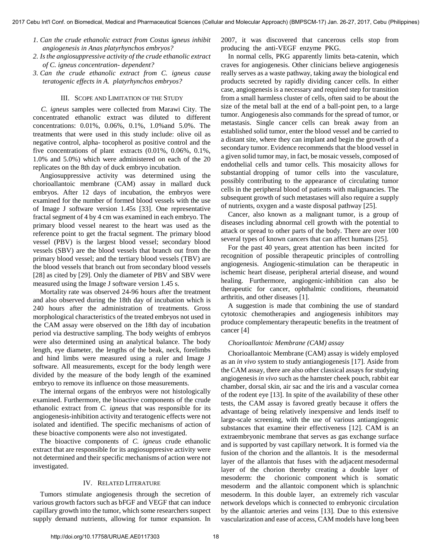- *1. Can the crude ethanolic extract from Costus igneus inhibit angiogenesis in Anas platyrhynchos embryos?*
- *2. Is the angiosuppressive activity of the crude ethanolic extract of C. igneus concentration- dependent?*
- *3. Can the crude ethanolic extract from C. igneus cause teratogenic effects in A. platyrhynchos embryos?*

#### III. SCOPE AND LIMITATION OF THE STUDY

 *C. igneus* samples were collected from Marawi City. The concentrated ethanolic extract was diluted to different concentrations: 0.01%, 0.06%, 0.1%, 1.0%and 5.0%. The treatments that were used in this study include: olive oil as negative control, alpha- tocopherol as positive control and the five concentrations of plant extracts (0.01%, 0.06%, 0.1%, 1.0% and 5.0%) which were administered on each of the 20 replicates on the 8th day of duck embryo incubation.

Angiosuppressive activity was determined using the chorioallantoic membrane (CAM) assay in mallard duck embryos. After 12 days of incubation, the embryos were examined for the number of formed blood vessels with the use of Image J software version 1.45s [33]. One representative fractal segment of 4 by 4 cm was examined in each embryo. The primary blood vessel nearest to the heart was used as the reference point to get the fractal segment. The primary blood vessel (PBV) is the largest blood vessel; secondary blood vessels (SBV) are the blood vessels that branch out from the primary blood vessel; and the tertiary blood vessels (TBV) are the blood vessels that branch out from secondary blood vessels [28] as cited by [29]. Only the diameter of PBV and SBV were measured using the Image J software version 1.45 s.

Mortality rate was observed 24-96 hours after the treatment and also observed during the 18th day of incubation which is 240 hours after the administration of treatments. Gross morphological characteristics of the treated embryos not used in the CAM assay were observed on the 18th day of incubation period via destructive sampling. The body weights of embryos were also determined using an analytical balance. The body length, eye diameter, the lengths of the beak, neck, forelimbs and hind limbs were measured using a ruler and Image J software. All measurements, except for the body length were divided by the measure of the body length of the examined embryo to remove its influence on those measurements.

The internal organs of the embryos were not histologically examined. Furthermore, the bioactive components of the crude ethanolic extract from *C. igneus* that was responsible for its angiogenesis-inhibition activity and teratogenic effects were not isolated and identified. The specific mechanisms of action of these bioactive components were also not investigated.

The bioactive components of *C. igneus* crude ethanolic extract that are responsible for its angiosuppresive activity were not determined and their specific mechanisms of action were not investigated.

# IV. RELATED LITERATURE

Tumors stimulate angiogenesis through the secretion of various growth factors such as bFGF and VEGF that can induce capillary growth into the tumor, which some researchers suspect supply demand nutrients, allowing for tumor expansion. In

2007, it was discovered that cancerous cells stop from producing the anti-VEGF enzyme PKG.

In normal cells, PKG apparently limits beta-catenin, which craves for angiogenesis. Other clinicians believe angiogenesis really serves as a waste pathway, taking away the biological end products secreted by rapidly dividing cancer cells. In either case, angiogenesis is a necessary and required step for transition from a small harmless cluster of cells, often said to be about the size of the metal ball at the end of a ball-point pen, to a large tumor. Angiogenesis also commands for the spread of tumor, or metastasis. Single cancer cells can break away from an established solid tumor, enter the blood vessel and be carried to a distant site, where they can implant and begin the growth of a secondary tumor. Evidence recommends that the blood vessel in a given solid tumor may, in fact, be mosaic vessels, composed of endothelial cells and tumor cells. This mosaicity allows for substantial dropping of tumor cells into the vasculature, possibly contributing to the appearance of circulating tumor cells in the peripheral blood of patients with malignancies. The subsequent growth of such metastases will also require a supply of nutrients, oxygen and a waste disposal pathway [25].

Cancer, also known as a malignant tumor, is a group of diseases including abnormal cell growth with the potential to attack or spread to other parts of the body. There are over 100 several types of known cancers that can affect humans [25].

For the past 40 years, great attention has been incited for recognition of possible therapeutic principles of controlling angiogenesis. Angiogenic-stimulation can be therapeutic in ischemic heart disease, peripheral arterial disease, and wound healing. Furthermore, angiogenic-inhibition can also be therapeutic for cancer, ophthalmic conditions, rheumatoid arthritis, and other diseases [1].

A suggestion is made that combining the use of standard cytotoxic chemotherapies and angiogenesis inhibitors may produce complementary therapeutic benefits in the treatment of cancer [4]

# *Chorioallantoic Membrane (CAM) assay*

Chorioallantoic Membrane (CAM) assay is widely employed as an *in vivo* system to study antiangiogenesis [17]. Aside from the CAM assay, there are also other classical assays for studying angiogenesis *in vivo* such as the hamster cheek pouch, rabbit ear chamber, dorsal skin, air sac and the iris and a vascular cornea of the rodent eye [13]. In spite of the availability of these other tests, the CAM assay is favored greatly because it offers the advantage of being relatively inexpensive and lends itself to large-scale screening, with the use of various antiangiogenic substances that examine their effectiveness [12]. CAM is an extraembryonic membrane that serves as gas exchange surface and is supported by vast capillary network. It is formed via the fusion of the chorion and the allantois. It is the mesodermal layer of the allantois that fuses with the adjacent mesodermal layer of the chorion thereby creating a double layer of mesoderm: the chorionic component which is somatic mesoderm and the allantoic component which is splanchnic mesoderm. In this double layer, an extremely rich vascular network develops which is connected to embryonic circulation by the allantoic arteries and veins [13]. Due to this extensive vascularization and ease of access, CAM models have long been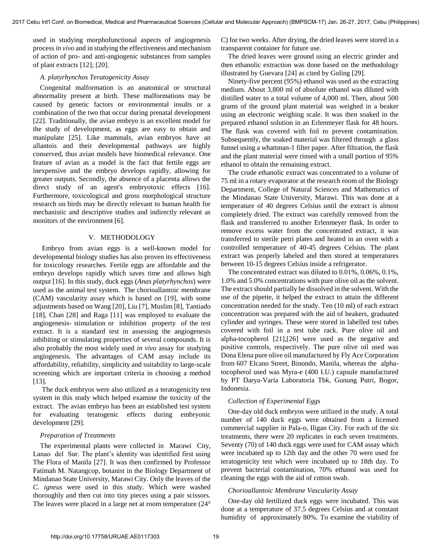used in studying morphofunctional aspects of angiogenesis process *in vivo* and in studying the effectiveness and mechanism of action of pro- and anti-angiogenic substances from samples of plant extracts [12]; [20].

## *A. platyrhynchos Teratogenicity Assay*

Congenital malformation is an anatomical or structural abnormality present at birth. These malformations may be caused by genetic factors or environmental insults or a combination of the two that occur during prenatal development [22]. Traditionally, the avian embryo is an excellent model for the study of development, as eggs are easy to obtain and manipulate [25]. Like mammals, avian embryos have an allantois and their developmental pathways are highly conserved, thus avian models have biomedical relevance. One feature of avian as a model is the fact that fertile eggs are inexpensive and the embryo develops rapidly, allowing for greater outputs. Secondly, the absence of a placenta allows the direct study of an agent's embryotoxic effects [16]. Furthermore, toxicological and gross morphological structure research on birds may be directly relevant to human health for mechanistic and descriptive studies and indirectly relevant as monitors of the environment [6].

# V. METHODOLOGY

 Embryo from avian eggs is a well-known model for developmental biology studies has also proven its effectiveness for toxicology researches. Fertile eggs are affordable and the embryo develops rapidly which saves time and allows high output [16]. In this study, duck eggs (*Anas platyrhynchos*) were used as the animal test system. The chorioallantoic membrane (CAM) vascularity assay which is based on [19], with some adjustments based on Wang [20], Liu [7], Muslim [8], Tantiado [18], Chan [28] and Raga [11] was employed to evaluate the angiogenesis- stimulation or inhibition property of the test extract. It is a standard test in assessing the angiogenesis inhibiting or stimulating properties of several compounds. It is also probably the most widely used *in vivo* assay for studying angiogenesis. The advantages of CAM assay include its affordability, reliability, simplicity and suitability to large-scale screening which are important criteria in choosing a method [13].

 The duck embryos were also utilized as a teratogenicity test system in this study which helped examine the toxicity of the extract. The avian embryo has been an established test system for evaluating teratogenic effects during embryonic development [29].

### *Preparation of Treatments*

 The experimental plants were collected in Marawi City, Lanao del Sur. The plant's identity was identified first using [The Flora of Manila](http://www.biodiversitylibrary.org/bibliography/10789) [27]. It was then confirmed by Professor Fatimah M. Natangcop, botanist in the Biology Department of Mindanao State University, Marawi City. Only the leaves of the *C. igneus* were used in this study. Which were washed thoroughly and then cut into tiny pieces using a pair scissors. The leaves were placed in a large net at room temperature (24°

C) for two weeks. After drying, the dried leaves were stored in a transparent container for future use.

The dried leaves were ground using an electric grinder and then ethanolic extraction was done based on the methodology illustrated by Guevara [24] as cited by Goling [29].

Ninety-five percent (95%) ethanol was used as the extracting medium. About 3,800 ml of absolute ethanol was diluted with distilled water to a total volume of 4,000 ml. Then, about 500 grams of the ground plant material was weighed in a beaker using an electronic weighing scale. It was then soaked in the prepared ethanol solution in an Erlenmeyer flask for 48 hours. The flask was covered with foil to prevent contamination. Subsequently, the soaked material was filtered through a glass funnel using a whattman-1 filter paper. After filtration, the flask and the plant material were rinsed with a small portion of 95% ethanol to obtain the remaining extract.

The crude ethanolic extract was concentrated to a volume of 75 ml in a rotary evaporator at the research room of the Biology Department, College of Natural Sciences and Mathematics of the Mindanao State University, Marawi. This was done at a temperature of 40 degrees Celsius until the extract is almost completely dried. The extract was carefully removed from the flask and transferred to another Erlenmeyer flask. In order to remove excess water from the concentrated extract, it was transferred to sterile petri plates and heated in an oven with a controlled temperature of 40-45 degrees Celsius. The plant extract was properly labeled and then stored at temperatures between 10-15 degrees Celsius inside a refrigerator.

The concentrated extract was diluted to 0.01%, 0.06%, 0.1%, 1.0% and 5.0% concentrations with pure olive oil as the solvent. The extract should partially be dissolved in the solvent. With the use of the pipette, it helped the extract to attain the different concentration needed for the study. Ten (10 ml) of each extract concentration was prepared with the aid of beakers, graduated cylinder and syringes. These were stored in labelled test tubes covered with foil in a test tube rack. Pure olive oil and alpha-tocopherol [21],[26] were used as the negative and positive controls, respectively. The pure olive oil used was Dona Elena pure olive oil manufactured by Fly Ace Corporation from 607 Elcano Street, Binondo, Manila, whereas the alphatocopherol used was Myra-e (400 I.U.) capsule manufactured by PT Darya-Varia Laboratoria Tbk, Gunung Putri, Bogor, Indonesia.

# *Collection of Experimental Eggs*

One-day old duck embryos were utilized in the study. A total number of 140 duck eggs were obtained from a licensed commercial supplier in Pala-o, Iligan City. For each of the six treatments, there were 20 replicates in each seven treatments. Seventy (70) of 140 duck eggs were used for CAM assay which were incubated up to 12th day and the other 70 were used for teratogenicity test which were incubated up to 18th day. To prevent bacterial contamination, 70% ethanol was used for cleaning the eggs with the aid of cotton swab.

# *Chorioallantoic Membrane Vascularity Assay*

One-day old fertilized duck eggs were incubated. This was done at a temperature of 37.5 degrees Celsius and at constant humidity of approximately 80%. To examine the viability of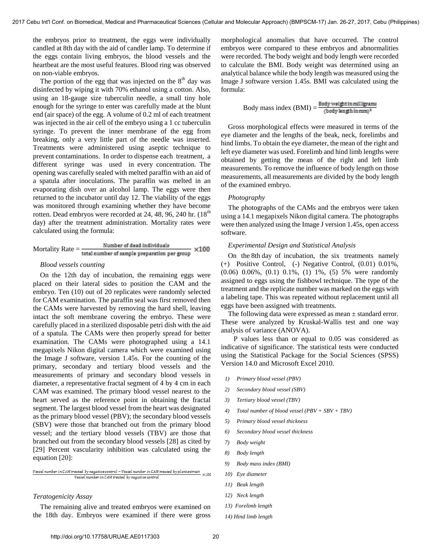the embryos prior to treatment, the eggs were individually candled at 8th day with the aid of candler lamp. To determine if the eggs contain living embryos, the blood vessels and the heartbeat are the most useful features. Blood ring was observed on non-viable embryos.

The portion of the egg that was injected on the  $8<sup>th</sup>$  day was disinfected by wiping it with 70% ethanol using a cotton. Also, using an 18-gauge size tuberculin needle, a small tiny hole enough for the syringe to enter was carefully made at the blunt end (air space) of the egg. A volume of 0.2 ml of each treatment was injected in the air cell of the embryo using a 1 cc tuberculin syringe. To prevent the inner membrane of the egg from breaking, only a very little part of the needle was inserted. Treatments were administered using aseptic technique to prevent contaminations. In order to dispense each treatment, a different syringe was used in every concentration. The opening was carefully sealed with melted paraffin with an aid of a spatula after inoculations. The paraffin was melted in an evaporating dish over an alcohol lamp. The eggs were then returned to the incubator until day 12. The viability of the eggs was monitored through examining whether they have become rotten. Dead embryos were recorded at 24, 48, 96, 240 hr.  $(18<sup>th</sup>$ day) after the treatment administration. Mortality rates were calculated using the formula:

Mortality Rate = 
$$
\frac{\text{Number of dead individuals}}{\text{total number of sample preparation per group}} \times 100
$$

### *Blood vessels counting*

On the 12th day of incubation, the remaining eggs were placed on their lateral sides to position the CAM and the embryo. Ten (10) out of 20 replicates were randomly selected for CAM examination. The paraffin seal was first removed then the CAMs were harvested by removing the hard shell, leaving intact the soft membrane covering the embryo. These were carefully placed in a sterilized disposable petri dish with the aid of a spatula. The CAMs were then properly spread for better examination. The CAMs were photographed using a 14.1 megapixels Nikon digital camera which were examined using the Image J software, version 1.45s. For the counting of the primary, secondary and tertiary blood vessels and the measurements of primary and secondary blood vessels in diameter, a representative fractal segment of 4 by 4 cm in each CAM was examined. The primary blood vessel nearest to the heart served as the reference point in obtaining the fractal segment. The largest blood vessel from the heart was designated as the primary blood vessel (PBV); the secondary blood vessels (SBV) were those that branched out from the primary blood vessel; and the tertiary blood vessels (TBV) are those that branched out from the secondary blood vessels [28] as cited by [29] Percent vascularity inhibition was calculated using the equation [20]:

## Vessel number in CAM treated by negative control – Vessel number in CAM treated by plant extract  $\times 100$ Vessel number in CAM treated by negative control

## *Teratogenicity Assay*

The remaining alive and treated embryos were examined on the 18th day. Embryos were examined if there were gross morphological anomalies that have occurred. The control embryos were compared to these embryos and abnormalities were recorded. The body weight and body length were recorded to calculate the BMI. Body weight was determined using an analytical balance while the body length was measured using the Image J software version 1.45s. BMI was calculated using the formula:

Body mass index 
$$
(BMI) = \frac{Body weight in milligram}{(body length in mm)^2}
$$

Gross morphological effects were measured in terms of the eye diameter and the lengths of the beak, neck, forelimbs and hind limbs. To obtain the eye diameter, the mean of the right and left eye diameter was used. Forelimb and hind limb lengths were obtained by getting the mean of the right and left limb measurements. To remove the influence of body length on those measurements, all measurements are divided by the body length of the examined embryo.

# *Photography*

The photographs of the CAMs and the embryos were taken using a 14.1 megapixels Nikon digital camera. The photographs were then analyzed using the Image J version 1.45s, open access software.

## *Experimental Design and Statistical Analysis*

On the 8th day of incubation, the six treatments namely (+) Positive Control, (-) Negative Control, (0.01) 0.01%, (0.06) 0.06%, (0.1) 0.1%, (1) 1%, (5) 5% were randomly assigned to eggs using the fishbowl technique. The type of the treatment and the replicate number was marked on the eggs with a labeling tape. This was repeated without replacement until all eggs have been assigned with treatments.

The following data were expressed as mean  $\pm$  standard error. These were analyzed by Kruskal-Wallis test and one way analysis of variance (ANOVA).

 P values less than or equal to 0.05 was considered as indicative of significance. The statistical tests were conducted using the Statistical Package for the Social Sciences (SPSS) Version 14.0 and Microsoft Excel 2010.

- *1) Primary blood vessel (PBV)*
- *2) Secondary blood vessel (SBV)*
- *3) Tertiary blood vessel (TBV)*
- *4) Total number of blood vessel (PBV + SBV + TBV)*
- *5) Primary blood vessel thickness*
- *6) Secondary blood vessel thickness*
- *7) Body weight*
- *8) Body length*
- *9) Body mass index (BMI)*
- *10) Eye diameter*
- *11) Beak length*
- *12) Neck length*
- *13) Forelimb length*
- *14) Hind limb length*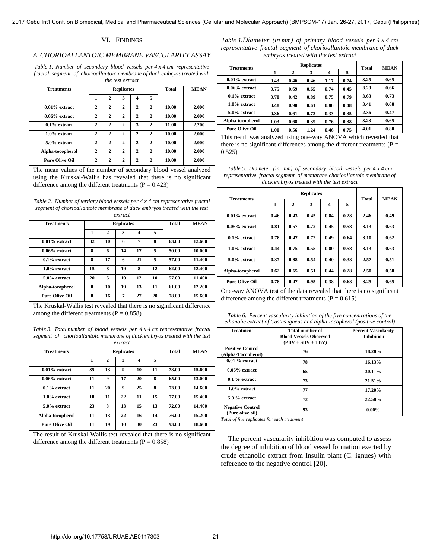# VI. FINDINGS

### *A.CHORIOALLANTOIC MEMBRANE VASCULARITY ASSAY*

*Table 1. Number of secondary blood vessels per 4 x 4 cm representative fractal segment of chorioallantoic membrane of duck embryos treated with the test extract* 

| <b>Treatments</b>     |              |              | <b>Replicates</b> |                |              | <b>Total</b> | <b>MEAN</b> |
|-----------------------|--------------|--------------|-------------------|----------------|--------------|--------------|-------------|
|                       | 1            | 2            | 3                 | 4              | 5            |              |             |
| $0.01\%$ extract      | $\mathbf{2}$ | $\mathbf{2}$ | $\mathbf{2}$      | $\mathbf{2}$   | $\mathbf{2}$ | 10.00        | 2.000       |
| $0.06\%$ extract      | $\mathbf{2}$ | $\mathbf{2}$ | $\mathbf{2}$      | $\overline{2}$ | 2            | 10.00        | 2.000       |
| $0.1\%$ extract       | $\mathbf{2}$ | $\mathbf{2}$ | $\mathbf{2}$      | 3              | 2            | 11.00        | 2.200       |
| $1.0\%$ extract       | $\mathbf{2}$ | $\mathbf{2}$ | $\mathbf{2}$      | $\mathbf{2}$   | $\mathbf{2}$ | 10.00        | 2.000       |
| 5.0% extract          | $\mathbf{2}$ | $\mathbf{2}$ | $\mathbf{2}$      | $\mathbf{2}$   | $\mathbf{2}$ | 10.00        | 2.000       |
| Alpha-tocopherol      | $\mathbf{2}$ | $\mathbf{2}$ | $\mathbf{2}$      | $\mathbf{2}$   | $\mathbf{2}$ | 10.00        | 2.000       |
| <b>Pure Olive Oil</b> | $\mathbf{2}$ | $\mathbf{2}$ | $\mathbf{2}$      | $\mathbf{2}$   | $\mathbf{2}$ | 10.00        | 2.000       |

The mean values of the number of secondary blood vessel analyzed using the Kruskal-Wallis has revealed that there is no significant difference among the different treatments ( $P = 0.423$ )

*Table 2. Number of tertiary blood vessels per 4 x 4 cm representative fractal segment of chorioallantoic membrane of duck embryos treated with the test extract* 

| <b>Treatments</b>     |    |    | <b>Replicates</b> |    | <b>Total</b> | <b>MEAN</b> |        |
|-----------------------|----|----|-------------------|----|--------------|-------------|--------|
|                       | 1  | 2  | 3                 | 4  | 5            |             |        |
| $0.01\%$ extract      | 32 | 10 | 6                 | 7  | 8            | 63.00       | 12.600 |
| $0.06\%$ extract      | 8  | 6  | 14                | 17 | 5            | 50.00       | 10.000 |
| $0.1\%$ extract       | 8  | 17 | 6                 | 21 | 5            | 57.00       | 11.400 |
| $1.0\%$ extract       | 15 | 8  | 19                | 8  | 12           | 62.00       | 12.400 |
| 5.0% extract          | 20 | 5  | 10                | 12 | 10           | 57.00       | 11.400 |
| Alpha-tocopherol      | 8  | 10 | 19                | 13 | 11           | 61.00       | 12.200 |
| <b>Pure Olive Oil</b> | 8  | 16 | 7                 | 27 | 20           | 78.00       | 15.600 |

The Kruskal-Wallis test revealed that there is no significant difference among the different treatments  $(P = 0.858)$ 

*Table 3. Total number of blood vessels per 4 x 4 cm representative fractal segment of chorioallantoic membrane of duck embryos treated with the test extract* 

| <b>Treatments</b>     |    |    | <b>Replicates</b> |    | <b>Total</b> | <b>MEAN</b> |        |
|-----------------------|----|----|-------------------|----|--------------|-------------|--------|
|                       |    | 2  | 3                 | 4  | 5            |             |        |
| $0.01\%$ extract      | 35 | 13 | 9                 | 10 | 11           | 78.00       | 15.600 |
| $0.06\%$ extract      | 11 | 9  | 17                | 20 | 8            | 65.00       | 13.000 |
| $0.1\%$ extract       | 11 | 20 | 9                 | 25 | 8            | 73.00       | 14.600 |
| $1.0\%$ extract       | 18 | 11 | 22                | 11 | 15           | 77.00       | 15.400 |
| 5.0% extract          | 23 | 8  | 13                | 15 | 13           | 72.00       | 14.400 |
| Alpha-tocopherol      | 11 | 13 | 22                | 16 | 14           | 76.00       | 15.200 |
| <b>Pure Olive Oil</b> | 11 | 19 | 10                | 30 | 23           | 93.00       | 18.600 |

The result of Kruskal-Wallis test revealed that there is no significant difference among the different treatments ( $P = 0.858$ )

*Table 4.Diameter (in mm) of primary blood vessels per 4 x 4 cm representative fractal segment of chorioallantoic membrane of duck embryos treated with the test extract* 

| <b>Treatments</b>     |      |              | <b>Replicates</b> |      |      | Total | <b>MEAN</b> |
|-----------------------|------|--------------|-------------------|------|------|-------|-------------|
|                       | 1    | $\mathbf{2}$ | 3                 | 4    | 5    |       |             |
| $0.01\%$ extract      | 0.43 | 0.46         | 0.46              | 1.17 | 0.74 | 3.25  | 0.65        |
| $0.06\%$ extract      | 0.75 | 0.69         | 0.65              | 0.74 | 0.45 | 3.29  | 0.66        |
| $0.1\%$ extract       | 0.78 | 0.42         | 0.89              | 0.75 | 0.79 | 3.63  | 0.73        |
| $1.0\%$ extract       | 0.48 | 0.98         | 0.61              | 0.86 | 0.48 | 3.41  | 0.68        |
| 5.0% extract          | 0.36 | 0.61         | 0.72              | 0.33 | 0.35 | 2.36  | 0.47        |
| Alpha-tocopherol      | 1.03 | 0.68         | 0.39              | 0.76 | 0.38 | 3.23  | 0.65        |
| <b>Pure Olive Oil</b> | 1.00 | 0.56         | 1.24              | 0.46 | 0.75 | 4.01  | 0.80        |

This result was analyzed using one-way ANOVA which revealed that there is no significant differences among the different treatments ( $P =$ 0.525)

*Table 5. Diameter (in mm) of secondary blood vessels per 4 x 4 cm representative fractal segment of membrane chorioallantoic membrane of duck embryos treated with the test extract* 

|                       |      |                | <b>Replicates</b> |      |      | <b>Total</b> | <b>MEAN</b> |
|-----------------------|------|----------------|-------------------|------|------|--------------|-------------|
| <b>Treatments</b>     | 1    | $\overline{2}$ | 3                 | 4    | 5    |              |             |
| $0.01\%$ extract      | 0.46 | 0.43           | 0.45              | 0.84 | 0.28 | 2.46         | 0.49        |
| $0.06\%$ extract      | 0.81 | 0.57           | 0.72              | 0.45 | 0.58 | 3.13         | 0.63        |
| $0.1\%$ extract       | 0.78 | 0.47           | 0.72              | 0.49 | 0.64 | 3.10         | 0.62        |
| $1.0\%$ extract       | 0.44 | 0.75           | 0.55              | 0.80 | 0.58 | 3.13         | 0.63        |
| 5.0% extract          | 0.37 | 0.88           | 0.54              | 0.40 | 0.38 | 2.57         | 0.51        |
| Alpha-tocopherol      | 0.62 | 0.65           | 0.51              | 0.44 | 0.28 | 2.50         | 0.50        |
| <b>Pure Olive Oil</b> | 0.78 | 0.47           | 0.95              | 0.38 | 0.68 | 3.25         | 0.65        |

One-way ANOVA test of the data revealed that there is no significant difference among the different treatments ( $P = 0.615$ )

*Table 6. Percent vascularity inhibition of the five concentrations of the ethanolic extract of Costus igneus and alpha-tocopherol (positive control)* 

| <b>Treatment</b>                              | Total number of<br><b>Blood Vessels Observed</b><br>$(PBV + SBV + TBV)$ | <b>Percent Vascularity</b><br><b>Inhibition</b> |
|-----------------------------------------------|-------------------------------------------------------------------------|-------------------------------------------------|
| <b>Positive Control</b><br>(Alpha-Tocopherol) | 76                                                                      | 18.28%                                          |
| $0.01\%$ extract                              | 78                                                                      | 16.13%                                          |
| $0.06\%$ extract                              | 65                                                                      | 30.11%                                          |
| $0.1\%$ extract                               | 73                                                                      | 21.51%                                          |
| $1.0\%$ extract                               | 77                                                                      | 17.20%                                          |
| $5.0\%$ extract                               | 72                                                                      | 22.58%                                          |
| <b>Negative Control</b><br>(Pure olive oil)   | 93                                                                      | $0.00\%$                                        |

*Total of five replicates for each treatment* 

The percent vascularity inhibition was computed to assess the degree of inhibition of blood vessel formation exerted by crude ethanolic extract from Insulin plant (C. ignues) with reference to the negative control [20].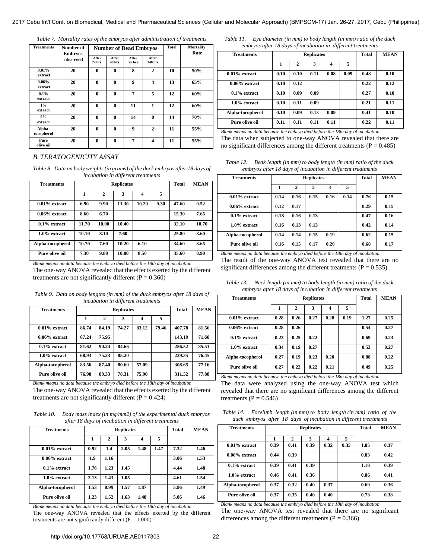|  |  | Table 7. Mortality rates of the embryos after administration of treatments |  |
|--|--|----------------------------------------------------------------------------|--|
|  |  |                                                                            |  |

| <b>Treatments</b>    | Number of<br><b>Embryos</b> |                  |                         | <b>Number of Dead Embryos</b> | Total             | Mortality<br>Rate |     |
|----------------------|-----------------------------|------------------|-------------------------|-------------------------------|-------------------|-------------------|-----|
|                      | observed                    | After<br>24 hrs. | After<br><b>48 hrs.</b> | After<br>96 hrs.              | After<br>240 hrs. |                   |     |
| $0.01\%$<br>extract  | 20                          | $\mathbf{0}$     | $\bf{0}$                | 8                             | $\mathbf{2}$      | 10                | 50% |
| $0.06\%$<br>extract  | 20                          | $\mathbf{0}$     | $\bf{0}$                | 9                             | 4                 | 13                | 65% |
| 0.1%<br>extract      | 20                          | $\mathbf{0}$     | $\bf{0}$                | 7                             | 5                 | 12                | 60% |
| $1\%$<br>extract     | 20                          | $\mathbf{0}$     | $\mathbf{0}$            | 11                            | 1                 | 12                | 60% |
| 5%<br>extract        | 20                          | $\theta$         | $\bf{0}$                | 14                            | $\bf{0}$          | 14                | 70% |
| Alpha-<br>tocopherol | 20                          | $\mathbf{0}$     | $\bf{0}$                | 9                             | $\mathbf{2}$      | 11                | 55% |
| Pure<br>olive oil    | 20                          | $\mathbf{0}$     | $\mathbf{0}$            | 7                             | 4                 | 11                | 55% |

# *B. TERATOGENICITY ASSAY*

*Table 8. Data on body weights (in grams) of the duck embryos after 18 days of incubation in different treatments* 

| <b>Treatments</b> |       | <b>Replicates</b> |       | <b>Total</b> | <b>MEAN</b> |       |       |
|-------------------|-------|-------------------|-------|--------------|-------------|-------|-------|
|                   | 1     | $\mathbf{2}$      | 3     | 4            | 5           |       |       |
| $0.01\%$ extract  | 6.90  | 9.90              | 11.30 | 10.20        | 9.30        | 47.60 | 9.52  |
| $0.06\%$ extract  | 8.60  | 6.70              |       |              |             | 15.30 | 7.65  |
| $0.1\%$ extract   | 11.70 | 10.00             | 10.40 |              |             | 32.10 | 10.70 |
| $1.0\%$ extract   | 10.10 | 8.10              | 7.60  |              |             | 25.80 | 8.60  |
| Alpha-tocopherol  | 10.70 | 7.60              | 10.20 | 6.10         |             | 34.60 | 8.65  |
| Pure olive oil    | 7.30  | 9.80              | 10.00 | 8.50         |             | 35.60 | 8.90  |

*Blank means no data because the embryo died before the 18th day of incubation* The one-way ANOVA revealed that the effects exerted by the different treatments are not significantly different ( $P = 0.360$ )

| Table 9. Data on body lengths (in mm) of the duck embryos after 18 days of |
|----------------------------------------------------------------------------|
| incubation in different treatments                                         |

| <b>Treatments</b> |       |       | <b>Replicates</b> |       | <b>Total</b> | <b>MEAN</b> |       |
|-------------------|-------|-------|-------------------|-------|--------------|-------------|-------|
|                   | 1     | 2     | 3                 | 4     | 5            |             |       |
| $0.01\%$ extract  | 86.74 | 84.19 | 74.27             | 83.12 | 79.46        | 407.78      | 81.56 |
| $0.06\%$ extract  | 67.24 | 75.95 |                   |       |              | 143.19      | 71.60 |
| $0.1\%$ extract   | 81.62 | 90.24 | 84.66             |       |              | 256.52      | 85.51 |
| $1.0\%$ extract   | 68.93 | 75.23 | 85.20             |       |              | 229.35      | 76.45 |
| Alpha-tocopherol  | 83.56 | 87.40 | 80.60             | 57.09 |              | 308.65      | 77.16 |
| Pure olive oil    | 76.98 | 80.33 | 78.31             | 75.90 |              | 311.52      | 77.88 |

*Blank means no data because the embryo died before the 18th day of incubation* The one-way ANOVA revealed that the effects exerted by the different treatments are not significantly different ( $P = 0.424$ )

*Table 10. Body mass index (in mg/mm2) of the experimental duck embryos after 18 days of incubation in different treatments* 

| <b>Treatments</b> |      | <b>Replicates</b> | <b>Total</b> | <b>MEAN</b> |      |      |      |
|-------------------|------|-------------------|--------------|-------------|------|------|------|
|                   | 1    | 2                 | 3            | 4           | 5    |      |      |
| $0.01\%$ extract  | 0.92 | 1.4               | 2.05         | 1.48        | 1.47 | 7.32 | 1.46 |
| $0.06\%$ extract  | 1.9  | 1.16              |              |             |      | 3.06 | 1.53 |
| $0.1\%$ extract   | 1.76 | 1.23              | 1.45         |             |      | 4.44 | 1.48 |
| $1.0\%$ extract   | 2.13 | 1.43              | 1.05         |             |      | 4.61 | 1.54 |
| Alpha-tocopherol  | 1.53 | 0.99              | 1.57         | 1.87        |      | 5.96 | 1.49 |
| Pure olive oil    | 1.23 | 1.52              | 1.63         | 1.48        |      | 5.86 | 1.46 |

*Blank means no data because the embryo died before the 18th day of incubation*  The one-way ANOVA revealed that the effects exerted by the different treatments are not significantly different  $(P = 1.000)$ 

*Table 11. Eye diameter (in mm) to body length (in mm) ratio of the duck embryos after 18 days of incubation in different treatments* 

| <b>Treatments</b>     |      | <b>Replicates</b> | <b>Total</b>              | <b>MEAN</b> |      |           |      |
|-----------------------|------|-------------------|---------------------------|-------------|------|-----------|------|
|                       | 1    | 2                 | 3                         | 4           | 5    |           |      |
| $0.01\%$ extract      | 0.10 | 0.10              | 0.11                      | 0.08        | 0.09 | 0.48      | 0.10 |
| $0.06\%$ extract      | 0.10 | 0.12              |                           |             |      | 0.22      | 0.12 |
| $0.1\%$ extract       | 0.10 | 0.09              | 0.09                      |             |      | 0.27      | 0.10 |
| $1.0\%$ extract       | 0.10 | 0.11              | 0.09                      |             |      | 0.21      | 0.11 |
| Alpha-tocopherol      | 0.10 | 0.09              | 0.13                      | 0.09        |      | 0.41      | 0.10 |
| Pure olive oil<br>--- | 0.11 | 0.11<br>$\sim$    | 0.11<br>$\cdots$ $\cdots$ | 0.11<br>.   |      | 0.22<br>. | 0.11 |

*Blank means no data because the embryo died before the 18th day of incubation* The data when subjected to one-way ANOVA revealed that there are no significant differences among the different treatments ( $P = 0.485$ )

| Table 12. | Beak length (in mm) to body length (in mm) ratio of the duck |
|-----------|--------------------------------------------------------------|
|           | embryos after 18 days of incubation in different treatments  |

| <b>Treatments</b> |      | <b>Replicates</b> | Total | <b>MEAN</b>             |      |      |      |
|-------------------|------|-------------------|-------|-------------------------|------|------|------|
|                   | 1    | 2                 | 3     | $\overline{\mathbf{4}}$ | 5    |      |      |
| $0.01\%$ extract  | 0.14 | 0.16              | 0.15  | 0.16                    | 0.14 | 0.76 | 0.15 |
| $0.06\%$ extract  | 0.12 | 0.17              |       |                         |      | 0.29 | 0.15 |
| $0.1\%$ extract   | 0.18 | 0.16              | 0.13  |                         |      | 0.47 | 0.16 |
| 1.0% extract      | 0.16 | 0.13              | 0.13  |                         |      | 0.42 | 0.14 |
| Alpha-tocopherol  | 0.14 | 0.14              | 0.15  | 0.19                    |      | 0.62 | 0.15 |
| Pure olive oil    | 0.16 | 0.15              | 0.17  | 0.20                    |      | 0.68 | 0.17 |

*Blank means no data because the embryo died before the 18th day of incubation* The result of the one-way ANOVA test revealed that there are no significant differences among the different treatments ( $P = 0.535$ )

*Table 13. Neck length (in mm) to body length (in mm) ratio of the duck embryos after 18 days of incubation in different treatments* 

| <b>Treatments</b> |      | <b>Replicates</b> | <b>Total</b> | <b>MEAN</b> |      |      |      |
|-------------------|------|-------------------|--------------|-------------|------|------|------|
|                   | 1    | $\mathbf{2}$      | 3            | 4           | 5    |      |      |
| $0.01\%$ extract  | 0.28 | 0.26              | 0.27         | 0.28        | 0.19 | 1.27 | 0.25 |
| $0.06\%$ extract  | 0.28 | 0.26              |              |             |      | 0.54 | 0.27 |
| $0.1\%$ extract   | 0.23 | 0.25              | 0.22         |             |      | 0.69 | 0.23 |
| $1.0\%$ extract   | 0.34 | 0.19              | 0.27         |             |      | 0.53 | 0.27 |
| Alpha-tocopherol  | 0.27 | 0.19              | 0.23         | 0.20        |      | 0.88 | 0.22 |
| Pure olive oil    | 0.27 | 0.22              | 0.22         | 0.21        |      | 0.49 | 0.25 |

*Blank means no data because the embryo died before the 18th day of incubation* The data were analyzed using the one-way ANOVA test which revealed that there are no significant differences among the different treatments ( $P = 0.546$ )

| Table 14. |  |  | Forelimb length (in mm) to body length (in mm) ratio of the      |  |  |
|-----------|--|--|------------------------------------------------------------------|--|--|
|           |  |  | duck embryos after 18 days of incubation in different treatments |  |  |

|                   |      |                   |              |             | u u  |      |      |
|-------------------|------|-------------------|--------------|-------------|------|------|------|
| <b>Treatments</b> |      | <b>Replicates</b> | <b>Total</b> | <b>MEAN</b> |      |      |      |
|                   |      | 2                 | 3            | 4           | 5    |      |      |
| $0.01\%$ extract  | 0.39 | 0.41              | 0.39         | 0.32        | 0.35 | 1.85 | 0.37 |
| $0.06\%$ extract  | 0.44 | 0.39              |              |             |      | 0.83 | 0.42 |
| $0.1\%$ extract   | 0.39 | 0.41              | 0.39         |             |      | 1.18 | 0.39 |
| $1.0\%$ extract   | 0.46 | 0.41              | 0.36         |             |      | 0.86 | 0.41 |
| Alpha-tocopherol  | 0.37 | 0.32              | 0.40         | 0.37        |      | 0.69 | 0.36 |
| Pure olive oil    | 0.37 | 0.35              | 0.40         | 0.40        |      | 0.73 | 0.38 |

*Blank means no data because the embryo died before the 18th day of incubation* The one-way ANOVA test revealed that there are no significant differences among the different treatments ( $P = 0.366$ )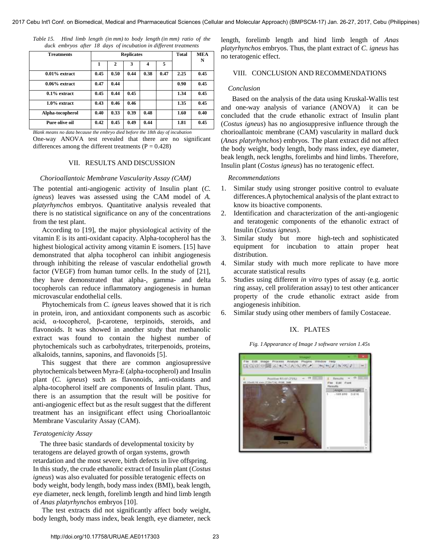| Table 15. |  |  |  | Hind limb length (in mm) to body length (in mm) ratio of the     |  |  |
|-----------|--|--|--|------------------------------------------------------------------|--|--|
|           |  |  |  | duck embryos after 18 days of incubation in different treatments |  |  |

| <b>Treatments</b> |      | <b>Replicates</b> | <b>Total</b> | <b>MEA</b> |      |      |      |
|-------------------|------|-------------------|--------------|------------|------|------|------|
|                   | 1    | 2                 | 3            | 4          | 5    |      | N    |
| $0.01\%$ extract  | 0.45 | 0.50              | 0.44         | 0.38       | 0.47 | 2.25 | 0.45 |
| $0.06\%$ extract  | 0.47 | 0.44              |              |            |      | 0.90 | 0.45 |
| $0.1\%$ extract   | 0.45 | 0.44              | 0.45         |            |      | 1.34 | 0.45 |
| $1.0\%$ extract   | 0.43 | 0.46              | 0.46         |            |      | 1.35 | 0.45 |
| Alpha-tocopherol  | 0.40 | 0.33              | 0.39         | 0.48       |      | 1.60 | 0.40 |
| Pure olive oil    | 0.42 | 0.45              | 0.49         | 0.44       |      | 1.81 | 0.45 |

*Blank means no data because the embryo died before the 18th day of incubation* One-way ANOVA test revealed that there are no significant differences among the different treatments ( $P = 0.428$ )

# VII. RESULTS AND DISCUSSION

## *Chorioallantoic Membrane Vascularity Assay (CAM)*

The potential anti-angiogenic activity of Insulin plant (*C. igneus*) leaves was assessed using the CAM model of *A. platyrhynchos* embryos. Quantitative analysis revealed that there is no statistical significance on any of the concentrations from the test plant.

 According to [19], the major physiological activity of the vitamin E is its anti-oxidant capacity. Alpha-tocopherol has the highest biological activity among vitamin E isomers. [15] have demonstrated that alpha tocopherol can inhibit angiogenesis through inhibiting the release of vascular endothelial growth factor (VEGF) from human tumor cells. In the study of [21], they have demonstrated that alpha-, gamma- and delta tocopherols can reduce inflammatory angiogenesis in human microvascular endothelial cells.

 Phytochemicals from *C. igneus* leaves showed that it is rich in protein, iron, and antioxidant components such as ascorbic acid, α-tocopherol, β-carotene, terpinoids, steroids, and flavonoids. It was showed in another study that methanolic extract was found to contain the highest number of phytochemicals such as carbohydrates, triterpenoids, proteins, alkaloids, tannins, saponins, and flavonoids [5].

 This suggest that there are common angiosupressive phytochemicals between Myra-E (alpha-tocopherol) and Insulin plant (*C. igneus*) such as flavonoids, anti-oxidants and alpha-tocopherol itself are components of Insulin plant. Thus, there is an assumption that the result will be positive for anti-angiogenic effect but as the result suggest that the different treatment has an insignificant effect using Chorioallantoic Membrane Vascularity Assay (CAM).

# *Teratogenicity Assay*

The three basic standards of developmental toxicity by teratogens are delayed growth of organ systems, growth retardation and the most severe, birth defects in live offspring. In this study, the crude ethanolic extract of Insulin plant (*Costus igneus*) was also evaluated for possible teratogenic effects on body weight, body length, body mass index (BMI), beak length, eye diameter, neck length, forelimb length and hind limb length of *Anas platyrhynchos* embryos [10].

 The test extracts did not significantly affect body weight, body length, body mass index, beak length, eye diameter, neck length, forelimb length and hind limb length of *Anas platyrhynchos* embryos. Thus, the plant extract of *C*. *igneus* has no teratogenic effect.

# VIII. CONCLUSION AND RECOMMENDATIONS

### *Conclusion*

 Based on the analysis of the data using Kruskal-Wallis test and one-way analysis of variance (ANOVA) it can be concluded that the crude ethanolic extract of Insulin plant (*Costus igneus*) has no angiosuppresive influence through the chorioallantoic membrane (CAM) vascularity in mallard duck (*Anas platyrhynchos*) embryos. The plant extract did not affect the body weight, body length, body mass index, eye diameter, beak length, neck lengths, forelimbs and hind limbs. Therefore, Insulin plant (*Costus igneus*) has no teratogenic effect.

# *Recommendations*

- 1. Similar study using stronger positive control to evaluate differences.A phytochemical analysis of the plant extract to know its bioactive components.
- 2. Identification and characterization of the anti-angiogenic and teratogenic components of the ethanolic extract of Insulin (*Costus igneus*).
- 3. Similar study but more high-tech and sophisticated equipment for incubation to attain proper heat distribution.
- 4. Similar study with much more replicate to have more accurate statistical results
- 5. Studies using different *in vitro* types of assay (e.g. aortic ring assay, cell proliferation assay) to test other anticancer property of the crude ethanolic extract aside from angiogenesis inhibition.
- 6. Similar study using other members of family Costaceae.

## IX. PLATES

*Fig. 1Appearance of Image J software version 1.45s* 

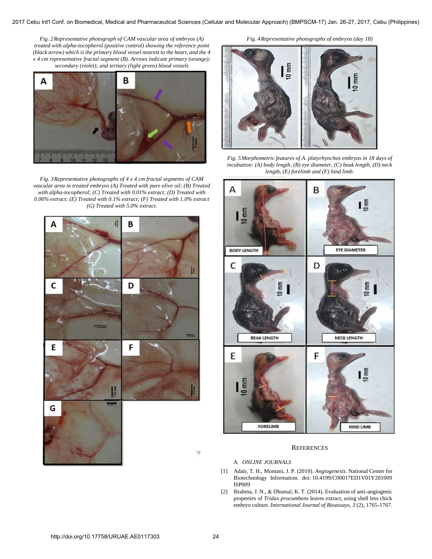*Fig. 2Representative photograph of CAM vascular area of embryos (A) treated with alpha-tocopherol (positive control) showing the reference point (black arrow) which is the primary blood vessel nearest to the heart, and the 4 x 4 cm representative fractal segment (B). Arrows indicate primary (orange); secondary (violet); and tertiary (light green) blood vessels* 



*Fig. 3Representative photographs of 4 x 4 cm fractal segments of CAM vascular area in treated embryos (A) Treated with pure olive oil; (B) Treated with alpha-tocopherol; (C) Treated with 0.01% extract; (D) Treated with 0.06% extract; (E) Treated with 0.1% extract; (F) Treated with 1.0% extract (G) Treated with 5.0% extract.* 



 $\overline{0 \text{ mm}}$  $0 \text{ mm}$ 

*Fig. 4Representative photographs of embryos (day 18)* 

*Fig. 5Morphometric features of A. platyrhynchos embryos in 18 days of incubation: (A) body length, (B) eye diameter, (C) beak length, (D) neck length, (E) forelimb and (F) hind limb.* 



# **REFERENCES**

## *A. ONLINE JOURNALS*

- [1] Adair, T. H., Montani, J. P. (2010)*. Angiogenesis.* [National Center for](http://www.ncbi.nlm.nih.gov/)  [Biotechnology Information.](http://www.ncbi.nlm.nih.gov/) doi[: 10.4199/C00017ED1V01Y201009](http://dx.crossref.org/10.4199/C00017ED1V01Y201009ISP009)  [ISP009](http://dx.crossref.org/10.4199/C00017ED1V01Y201009ISP009)
- [2] Brahma, J. N., & Dhumal, K. T. (2014). Evaluation of anti-angiogenic properties of *Tridax procumbens* leaves extract, using shell less chick embryo culture. *International Journal of Bioassays, 3* (2), 1765-1767.